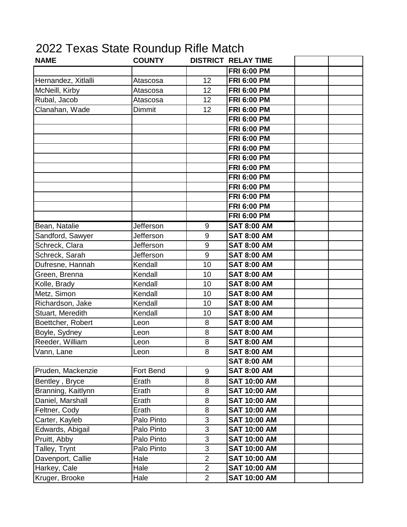## 2022 Texas State Roundup Rifle Match

| <b>NAME</b>         | <b>COUNTY</b> |                | <b>DISTRICT RELAY TIME</b> |  |
|---------------------|---------------|----------------|----------------------------|--|
|                     |               |                | <b>FRI 6:00 PM</b>         |  |
| Hernandez, Xitlalli | Atascosa      | 12             | <b>FRI 6:00 PM</b>         |  |
| McNeill, Kirby      | Atascosa      | 12             | <b>FRI 6:00 PM</b>         |  |
| Rubal, Jacob        | Atascosa      | 12             | <b>FRI 6:00 PM</b>         |  |
| Clanahan, Wade      | Dimmit        | 12             | <b>FRI 6:00 PM</b>         |  |
|                     |               |                | <b>FRI 6:00 PM</b>         |  |
|                     |               |                | <b>FRI 6:00 PM</b>         |  |
|                     |               |                | <b>FRI 6:00 PM</b>         |  |
|                     |               |                | <b>FRI 6:00 PM</b>         |  |
|                     |               |                | <b>FRI 6:00 PM</b>         |  |
|                     |               |                | <b>FRI 6:00 PM</b>         |  |
|                     |               |                | <b>FRI 6:00 PM</b>         |  |
|                     |               |                | <b>FRI 6:00 PM</b>         |  |
|                     |               |                | <b>FRI 6:00 PM</b>         |  |
|                     |               |                | <b>FRI 6:00 PM</b>         |  |
|                     |               |                | <b>FRI 6:00 PM</b>         |  |
| Bean, Natalie       | Jefferson     | 9              | <b>SAT 8:00 AM</b>         |  |
| Sandford, Sawyer    | Jefferson     | 9              | <b>SAT 8:00 AM</b>         |  |
| Schreck, Clara      | Jefferson     | 9              | <b>SAT 8:00 AM</b>         |  |
| Schreck, Sarah      | Jefferson     | 9              | <b>SAT 8:00 AM</b>         |  |
| Dufresne, Hannah    | Kendall       | 10             | <b>SAT 8:00 AM</b>         |  |
| Green, Brenna       | Kendall       | 10             | <b>SAT 8:00 AM</b>         |  |
| Kolle, Brady        | Kendall       | 10             | <b>SAT 8:00 AM</b>         |  |
| Metz, Simon         | Kendall       | 10             | <b>SAT 8:00 AM</b>         |  |
| Richardson, Jake    | Kendall       | 10             | <b>SAT 8:00 AM</b>         |  |
| Stuart, Meredith    | Kendall       | 10             | <b>SAT 8:00 AM</b>         |  |
| Boettcher, Robert   | Leon          | 8              | <b>SAT 8:00 AM</b>         |  |
| Boyle, Sydney       | Leon          | 8              | <b>SAT 8:00 AM</b>         |  |
| Reeder, William     | Leon          | 8              | <b>SAT 8:00 AM</b>         |  |
| Vann, Lane          | .eon          | 8              | <b>SAT 8:00 AM</b>         |  |
|                     |               |                | <b>SAT 8:00 AM</b>         |  |
| Pruden, Mackenzie   | Fort Bend     | $9\,$          | <b>SAT 8:00 AM</b>         |  |
| Bentley, Bryce      | Erath         | 8              | <b>SAT 10:00 AM</b>        |  |
| Branning, Kaitlynn  | Erath         | 8              | <b>SAT 10:00 AM</b>        |  |
| Daniel, Marshall    | Erath         | 8              | <b>SAT 10:00 AM</b>        |  |
| Feltner, Cody       | Erath         | 8              | <b>SAT 10:00 AM</b>        |  |
| Carter, Kayleb      | Palo Pinto    | $\sqrt{3}$     | <b>SAT 10:00 AM</b>        |  |
| Edwards, Abigail    | Palo Pinto    | 3              | <b>SAT 10:00 AM</b>        |  |
| Pruitt, Abby        | Palo Pinto    | 3              | <b>SAT 10:00 AM</b>        |  |
| Talley, Trynt       | Palo Pinto    | 3              | <b>SAT 10:00 AM</b>        |  |
| Davenport, Callie   | Hale          | $\overline{2}$ | <b>SAT 10:00 AM</b>        |  |
| Harkey, Cale        | Hale          | $\overline{2}$ | <b>SAT 10:00 AM</b>        |  |
| Kruger, Brooke      | Hale          | $\overline{2}$ | <b>SAT 10:00 AM</b>        |  |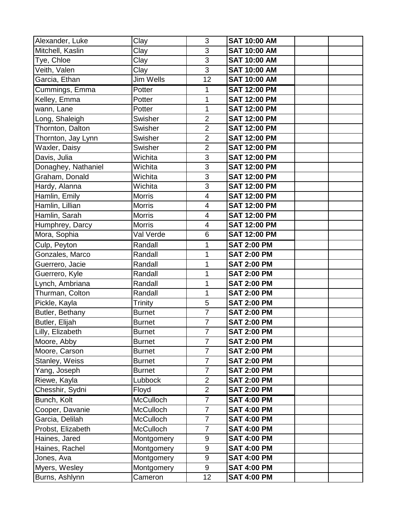| Alexander, Luke     | Clay             | 3                       | <b>SAT 10:00 AM</b> |  |
|---------------------|------------------|-------------------------|---------------------|--|
| Mitchell, Kaslin    | Clay             | 3                       | <b>SAT 10:00 AM</b> |  |
| Tye, Chloe          | Clay             | 3                       | <b>SAT 10:00 AM</b> |  |
| Veith, Valen        | Clay             | 3                       | <b>SAT 10:00 AM</b> |  |
| Garcia, Ethan       | Jim Wells        | 12                      | <b>SAT 10:00 AM</b> |  |
| Cummings, Emma      | Potter           | 1                       | <b>SAT 12:00 PM</b> |  |
| Kelley, Emma        | Potter           | 1                       | <b>SAT 12:00 PM</b> |  |
| wann, Lane          | Potter           | 1                       | <b>SAT 12:00 PM</b> |  |
| Long, Shaleigh      | Swisher          | $\overline{2}$          | <b>SAT 12:00 PM</b> |  |
| Thornton, Dalton    | Swisher          | $\overline{2}$          | <b>SAT 12:00 PM</b> |  |
| Thornton, Jay Lynn  | Swisher          | $\overline{2}$          | <b>SAT 12:00 PM</b> |  |
| Waxler, Daisy       | Swisher          | $\overline{2}$          | <b>SAT 12:00 PM</b> |  |
| Davis, Julia        | Wichita          | 3                       | <b>SAT 12:00 PM</b> |  |
| Donaghey, Nathaniel | Wichita          | 3                       | <b>SAT 12:00 PM</b> |  |
| Graham, Donald      | Wichita          | 3                       | <b>SAT 12:00 PM</b> |  |
| Hardy, Alanna       | Wichita          | $\overline{3}$          | <b>SAT 12:00 PM</b> |  |
| Hamlin, Emily       | <b>Morris</b>    | $\overline{\mathbf{4}}$ | <b>SAT 12:00 PM</b> |  |
| Hamlin, Lillian     | <b>Morris</b>    | $\overline{\mathbf{4}}$ | <b>SAT 12:00 PM</b> |  |
| Hamlin, Sarah       | <b>Morris</b>    | $\overline{\mathbf{4}}$ | <b>SAT 12:00 PM</b> |  |
| Humphrey, Darcy     | <b>Morris</b>    | $\overline{\mathbf{4}}$ | <b>SAT 12:00 PM</b> |  |
| Mora, Sophia        | Val Verde        | 6                       | <b>SAT 12:00 PM</b> |  |
| Culp, Peyton        | Randall          | 1                       | <b>SAT 2:00 PM</b>  |  |
| Gonzales, Marco     | Randall          | 1                       | <b>SAT 2:00 PM</b>  |  |
| Guerrero, Jacie     | Randall          | 1                       | <b>SAT 2:00 PM</b>  |  |
| Guerrero, Kyle      | Randall          | 1                       | <b>SAT 2:00 PM</b>  |  |
| Lynch, Ambriana     | Randall          | 1                       | <b>SAT 2:00 PM</b>  |  |
| Thurman, Colton     | Randall          | 1                       | <b>SAT 2:00 PM</b>  |  |
| Pickle, Kayla       | Trinity          | 5                       | <b>SAT 2:00 PM</b>  |  |
| Butler, Bethany     | <b>Burnet</b>    | $\overline{7}$          | <b>SAT 2:00 PM</b>  |  |
| Butler, Elijah      | <b>Burnet</b>    | $\overline{7}$          | <b>SAT 2:00 PM</b>  |  |
| Lilly, Elizabeth    | <b>Burnet</b>    | $\overline{7}$          | <b>SAT 2:00 PM</b>  |  |
| Moore, Abby         | <b>Burnet</b>    | $\overline{7}$          | <b>SAT 2:00 PM</b>  |  |
| Moore, Carson       | <b>Burnet</b>    | $\overline{7}$          | <b>SAT 2:00 PM</b>  |  |
| Stanley, Weiss      | <b>Burnet</b>    | $\overline{7}$          | <b>SAT 2:00 PM</b>  |  |
| Yang, Joseph        | <b>Burnet</b>    | $\overline{7}$          | <b>SAT 2:00 PM</b>  |  |
| Riewe, Kayla        | Lubbock          | $\overline{2}$          | <b>SAT 2:00 PM</b>  |  |
| Chesshir, Sydni     | Floyd            | $\overline{2}$          | <b>SAT 2:00 PM</b>  |  |
| Bunch, Kolt         | <b>McCulloch</b> | $\overline{7}$          | <b>SAT 4:00 PM</b>  |  |
| Cooper, Davanie     | <b>McCulloch</b> | $\overline{7}$          | <b>SAT 4:00 PM</b>  |  |
| Garcia, Delilah     | <b>McCulloch</b> | $\overline{7}$          | <b>SAT 4:00 PM</b>  |  |
| Probst, Elizabeth   | <b>McCulloch</b> | $\overline{7}$          | <b>SAT 4:00 PM</b>  |  |
| Haines, Jared       | Montgomery       | $\boldsymbol{9}$        | <b>SAT 4:00 PM</b>  |  |
| Haines, Rachel      | Montgomery       | $\boldsymbol{9}$        | <b>SAT 4:00 PM</b>  |  |
| Jones, Ava          | Montgomery       | 9                       | <b>SAT 4:00 PM</b>  |  |
| Myers, Wesley       | Montgomery       | 9                       | <b>SAT 4:00 PM</b>  |  |
| Burns, Ashlynn      | Cameron          | 12                      | <b>SAT 4:00 PM</b>  |  |